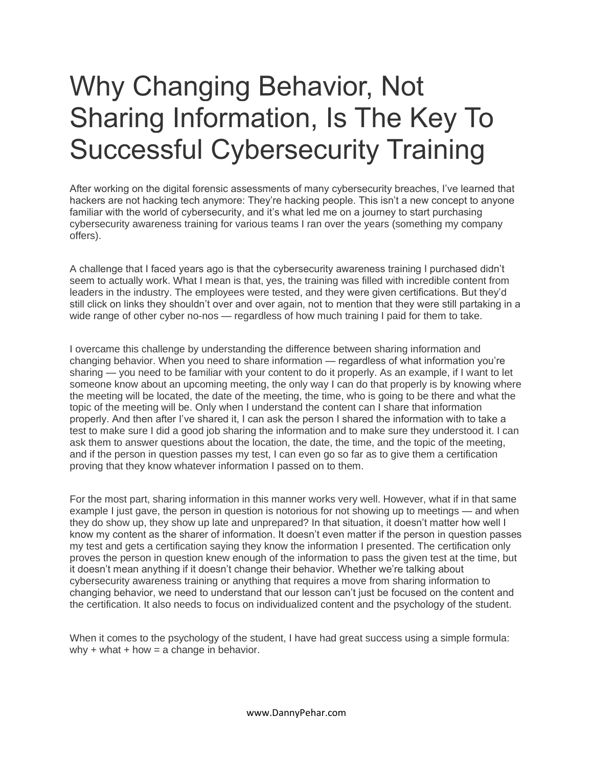## Why Changing Behavior, Not Sharing Information, Is The Key To Successful Cybersecurity Training

After working on the digital forensic assessments of many cybersecurity breaches, I've learned that hackers are not hacking tech anymore: They're hacking people. This isn't a new concept to anyone familiar with the world of cybersecurity, and it's what led me on a journey to start purchasing cybersecurity awareness training for various teams I ran over the years (something my company offers).

A challenge that I faced years ago is that the cybersecurity awareness training I purchased didn't seem to actually work. What I mean is that, yes, the training was filled with incredible content from leaders in the industry. The employees were tested, and they were given certifications. But they'd still click on links they shouldn't over and over again, not to mention that they were still partaking in a wide range of other cyber no-nos — regardless of how much training I paid for them to take.

I overcame this challenge by understanding the difference between sharing information and changing behavior. When you need to share information — regardless of what information you're sharing — you need to be familiar with your content to do it properly. As an example, if I want to let someone know about an upcoming meeting, the only way I can do that properly is by knowing where the meeting will be located, the date of the meeting, the time, who is going to be there and what the topic of the meeting will be. Only when I understand the content can I share that information properly. And then after I've shared it, I can ask the person I shared the information with to take a test to make sure I did a good job sharing the information and to make sure they understood it. I can ask them to answer questions about the location, the date, the time, and the topic of the meeting, and if the person in question passes my test, I can even go so far as to give them a certification proving that they know whatever information I passed on to them.

For the most part, sharing information in this manner works very well. However, what if in that same example I just gave, the person in question is notorious for not showing up to meetings — and when they do show up, they show up late and unprepared? In that situation, it doesn't matter how well I know my content as the sharer of information. It doesn't even matter if the person in question passes my test and gets a certification saying they know the information I presented. The certification only proves the person in question knew enough of the information to pass the given test at the time, but it doesn't mean anything if it doesn't change their behavior. Whether we're talking about cybersecurity awareness training or anything that requires a move from sharing information to changing behavior, we need to understand that our lesson can't just be focused on the content and the certification. It also needs to focus on individualized content and the psychology of the student.

When it comes to the psychology of the student, I have had great success using a simple formula: why + what + how =  $a$  change in behavior.